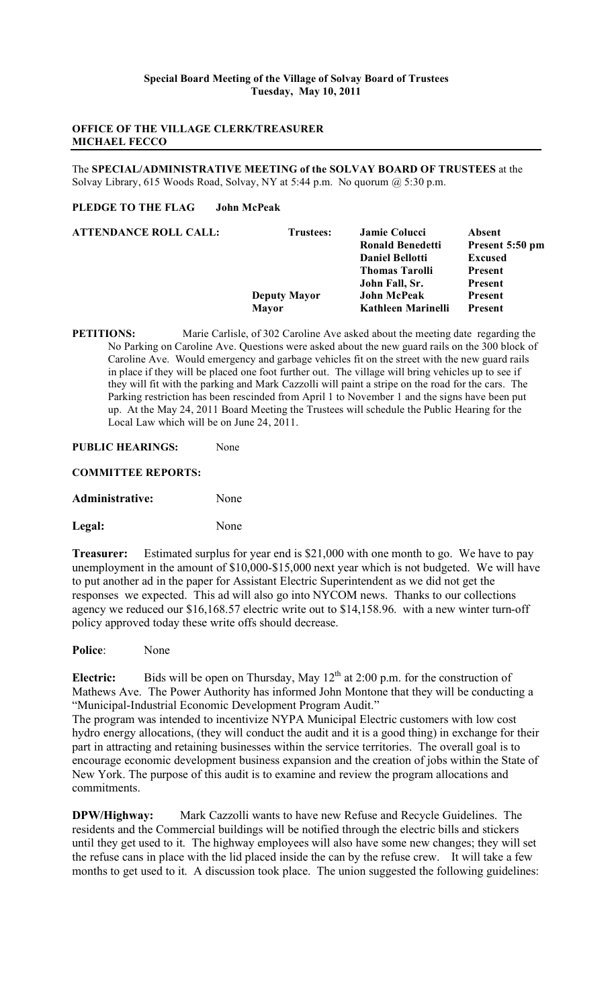### **OFFICE OF THE VILLAGE CLERK/TREASURER MICHAEL FECCO**

The **SPECIAL/ADMINISTRATIVE MEETING of the SOLVAY BOARD OF TRUSTEES** at the Solvay Library, 615 Woods Road, Solvay, NY at 5:44 p.m. No quorum @ 5:30 p.m.

## **PLEDGE TO THE FLAG John McPeak**

| <b>ATTENDANCE ROLL CALL:</b> | <b>Trustees:</b>    | <b>Jamie Colucci</b>    | Absent          |
|------------------------------|---------------------|-------------------------|-----------------|
|                              |                     | <b>Ronald Benedetti</b> | Present 5:50 pm |
|                              |                     | <b>Daniel Bellotti</b>  | <b>Excused</b>  |
|                              |                     | <b>Thomas Tarolli</b>   | Present         |
|                              |                     | John Fall, Sr.          | Present         |
|                              | <b>Deputy Mayor</b> | <b>John McPeak</b>      | Present         |
|                              | <b>Mayor</b>        | Kathleen Marinelli      | <b>Present</b>  |
|                              |                     |                         |                 |

**PETITIONS:** Marie Carlisle, of 302 Caroline Ave asked about the meeting date regarding the No Parking on Caroline Ave. Questions were asked about the new guard rails on the 300 block of Caroline Ave. Would emergency and garbage vehicles fit on the street with the new guard rails in place if they will be placed one foot further out. The village will bring vehicles up to see if they will fit with the parking and Mark Cazzolli will paint a stripe on the road for the cars. The Parking restriction has been rescinded from April 1 to November 1 and the signs have been put up. At the May 24, 2011 Board Meeting the Trustees will schedule the Public Hearing for the Local Law which will be on June 24, 2011.

#### **PUBLIC HEARINGS:** None

**COMMITTEE REPORTS:**

**Administrative:** None

Legal: None

**Treasurer:** Estimated surplus for year end is \$21,000 with one month to go. We have to pay unemployment in the amount of \$10,000-\$15,000 next year which is not budgeted. We will have to put another ad in the paper for Assistant Electric Superintendent as we did not get the responses we expected. This ad will also go into NYCOM news. Thanks to our collections agency we reduced our \$16,168.57 electric write out to \$14,158.96. with a new winter turn-off policy approved today these write offs should decrease.

**Police**: None

**Electric:** Bids will be open on Thursday, May  $12<sup>th</sup>$  at 2:00 p.m. for the construction of Mathews Ave. The Power Authority has informed John Montone that they will be conducting a "Municipal-Industrial Economic Development Program Audit."

The program was intended to incentivize NYPA Municipal Electric customers with low cost hydro energy allocations, (they will conduct the audit and it is a good thing) in exchange for their part in attracting and retaining businesses within the service territories. The overall goal is to encourage economic development business expansion and the creation of jobs within the State of New York. The purpose of this audit is to examine and review the program allocations and commitments.

**DPW/Highway:** Mark Cazzolli wants to have new Refuse and Recycle Guidelines. The residents and the Commercial buildings will be notified through the electric bills and stickers until they get used to it. The highway employees will also have some new changes; they will set the refuse cans in place with the lid placed inside the can by the refuse crew. It will take a few months to get used to it. A discussion took place. The union suggested the following guidelines: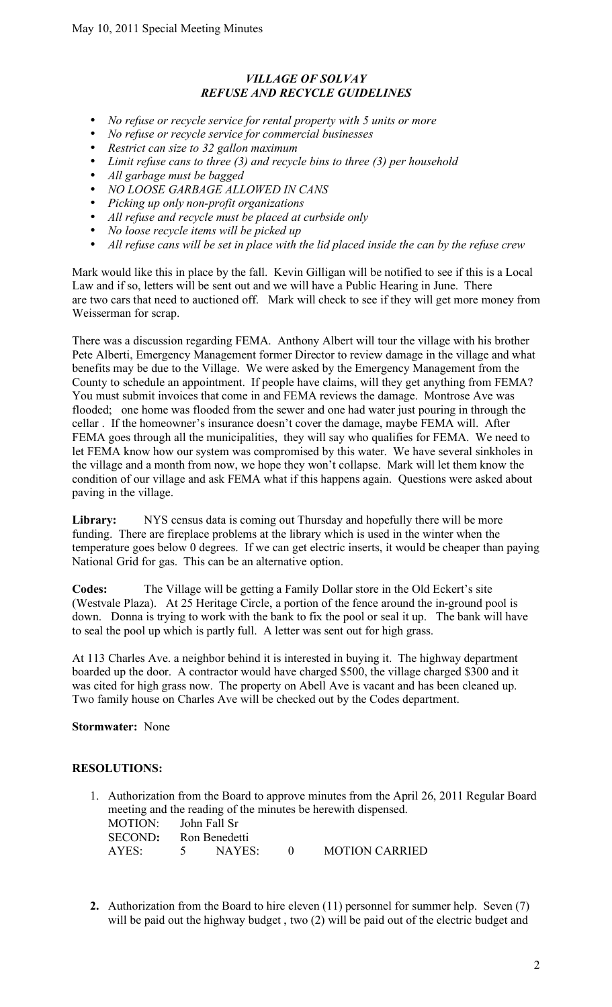# *VILLAGE OF SOLVAY REFUSE AND RECYCLE GUIDELINES*

- *No refuse or recycle service for rental property with 5 units or more*
- *No refuse or recycle service for commercial businesses*
- *Restrict can size to 32 gallon maximum*
- *Limit refuse cans to three (3) and recycle bins to three (3) per household*
- *All garbage must be bagged*
- *NO LOOSE GARBAGE ALLOWED IN CANS*
- *Picking up only non-profit organizations*
- *All refuse and recycle must be placed at curbside only*
- *No loose recycle items will be picked up*
- *All refuse cans will be set in place with the lid placed inside the can by the refuse crew*

Mark would like this in place by the fall. Kevin Gilligan will be notified to see if this is a Local Law and if so, letters will be sent out and we will have a Public Hearing in June. There are two cars that need to auctioned off. Mark will check to see if they will get more money from Weisserman for scrap.

There was a discussion regarding FEMA. Anthony Albert will tour the village with his brother Pete Alberti, Emergency Management former Director to review damage in the village and what benefits may be due to the Village. We were asked by the Emergency Management from the County to schedule an appointment. If people have claims, will they get anything from FEMA? You must submit invoices that come in and FEMA reviews the damage. Montrose Ave was flooded; one home was flooded from the sewer and one had water just pouring in through the cellar . If the homeowner's insurance doesn't cover the damage, maybe FEMA will. After FEMA goes through all the municipalities, they will say who qualifies for FEMA. We need to let FEMA know how our system was compromised by this water. We have several sinkholes in the village and a month from now, we hope they won't collapse. Mark will let them know the condition of our village and ask FEMA what if this happens again. Questions were asked about paving in the village.

Library: NYS census data is coming out Thursday and hopefully there will be more funding. There are fireplace problems at the library which is used in the winter when the temperature goes below 0 degrees. If we can get electric inserts, it would be cheaper than paying National Grid for gas. This can be an alternative option.

**Codes:** The Village will be getting a Family Dollar store in the Old Eckert's site (Westvale Plaza). At 25 Heritage Circle, a portion of the fence around the in-ground pool is down. Donna is trying to work with the bank to fix the pool or seal it up. The bank will have to seal the pool up which is partly full. A letter was sent out for high grass.

At 113 Charles Ave. a neighbor behind it is interested in buying it. The highway department boarded up the door. A contractor would have charged \$500, the village charged \$300 and it was cited for high grass now. The property on Abell Ave is vacant and has been cleaned up. Two family house on Charles Ave will be checked out by the Codes department.

## **Stormwater:** None

### **RESOLUTIONS:**

- 1. Authorization from the Board to approve minutes from the April 26, 2011 Regular Board meeting and the reading of the minutes be herewith dispensed. MOTION: John Fall Sr SECOND**:** Ron Benedetti AYES: 5 NAYES: 0 MOTION CARRIED
- **2.** Authorization from the Board to hire eleven (11) personnel for summer help. Seven (7) will be paid out the highway budget, two (2) will be paid out of the electric budget and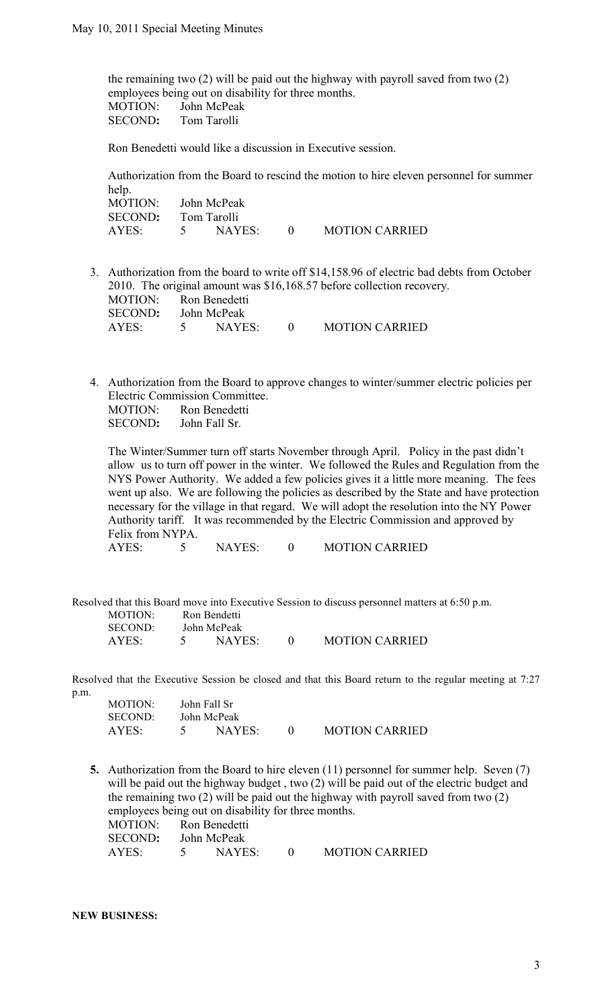the remaining two (2) will be paid out the highway with payroll saved from two (2) employees being out on disability for three months. MOTION: John McPeak SECOND**:** Tom Tarolli

Ron Benedetti would like a discussion in Executive session.

Authorization from the Board to rescind the motion to hire eleven personnel for summer help. MOTION: John McPeak SECOND**:** Tom Tarolli AYES: 5 NAYES: 0 MOTION CARRIED

- 3. Authorization from the board to write off \$14,158.96 of electric bad debts from October 2010. The original amount was \$16,168.57 before collection recovery. MOTION: Ron Benedetti SECOND**:** John McPeak AYES: 5 NAYES: 0 MOTION CARRIED
- 4. Authorization from the Board to approve changes to winter/summer electric policies per Electric Commission Committee. MOTION: Ron Benedetti SECOND**:** John Fall Sr.

The Winter/Summer turn off starts November through April. Policy in the past didn't allow us to turn off power in the winter. We followed the Rules and Regulation from the NYS Power Authority. We added a few policies gives it a little more meaning. The fees went up also. We are following the policies as described by the State and have protection necessary for the village in that regard. We will adopt the resolution into the NY Power Authority tariff. It was recommended by the Electric Commission and approved by Felix from NYPA.

AYES: 5 NAYES: 0 MOTION CARRIED

Resolved that this Board move into Executive Session to discuss personnel matters at 6:50 p.m. MOTION: Ron Bendetti SECOND: John McPeak AYES: 5 NAYES: 0 MOTION CARRIED

Resolved that the Executive Session be closed and that this Board return to the regular meeting at 7:27 p.m. MOTION: John Fall St

| MUTIUN:        | John Fall St |  |                       |
|----------------|--------------|--|-----------------------|
| <b>SECOND:</b> | John McPeak  |  |                       |
| AYES:          | NAYES        |  | <b>MOTION CARRIED</b> |

**5.** Authorization from the Board to hire eleven (11) personnel for summer help. Seven (7) will be paid out the highway budget, two (2) will be paid out of the electric budget and the remaining two (2) will be paid out the highway with payroll saved from two (2) employees being out on disability for three months.

| MOTION:             |          | Ron Benedetti |                       |
|---------------------|----------|---------------|-----------------------|
| SECOND: John McPeak |          |               |                       |
| AYES:               | $\sim$ 5 | NAYES         | <b>MOTION CARRIED</b> |